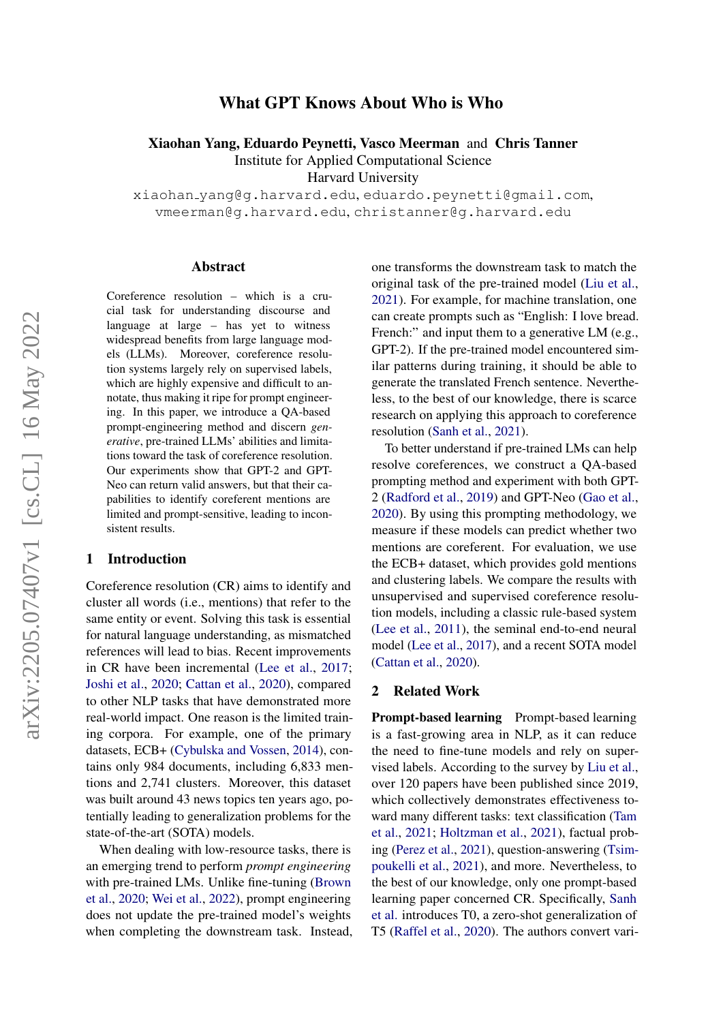# What GPT Knows About Who is Who

Xiaohan Yang, Eduardo Peynetti, Vasco Meerman and Chris Tanner

Institute for Applied Computational Science

Harvard University

xiaohan yang@g.harvard.edu, eduardo.peynetti@gmail.com, vmeerman@g.harvard.edu, christanner@g.harvard.edu

#### Abstract

Coreference resolution – which is a crucial task for understanding discourse and language at large – has yet to witness widespread benefits from large language models (LLMs). Moreover, coreference resolution systems largely rely on supervised labels, which are highly expensive and difficult to annotate, thus making it ripe for prompt engineering. In this paper, we introduce a QA-based prompt-engineering method and discern *generative*, pre-trained LLMs' abilities and limitations toward the task of coreference resolution. Our experiments show that GPT-2 and GPT-Neo can return valid answers, but that their capabilities to identify coreferent mentions are limited and prompt-sensitive, leading to inconsistent results.

### 1 Introduction

Coreference resolution (CR) aims to identify and cluster all words (i.e., mentions) that refer to the same entity or event. Solving this task is essential for natural language understanding, as mismatched references will lead to bias. Recent improvements in CR have been incremental [\(Lee et al.,](#page-5-0) [2017;](#page-5-0) [Joshi et al.,](#page-4-0) [2020;](#page-4-0) [Cattan et al.,](#page-4-1) [2020\)](#page-4-1), compared to other NLP tasks that have demonstrated more real-world impact. One reason is the limited training corpora. For example, one of the primary datasets, ECB+ [\(Cybulska and Vossen,](#page-4-2) [2014\)](#page-4-2), contains only 984 documents, including 6,833 mentions and 2,741 clusters. Moreover, this dataset was built around 43 news topics ten years ago, potentially leading to generalization problems for the state-of-the-art (SOTA) models.

When dealing with low-resource tasks, there is an emerging trend to perform *prompt engineering* with pre-trained LMs. Unlike fine-tuning [\(Brown](#page-4-3) [et al.,](#page-4-3) [2020;](#page-4-3) [Wei et al.,](#page-5-1) [2022\)](#page-5-1), prompt engineering does not update the pre-trained model's weights when completing the downstream task. Instead, one transforms the downstream task to match the original task of the pre-trained model [\(Liu et al.,](#page-5-2) [2021\)](#page-5-2). For example, for machine translation, one can create prompts such as "English: I love bread. French:" and input them to a generative LM (e.g., GPT-2). If the pre-trained model encountered similar patterns during training, it should be able to generate the translated French sentence. Nevertheless, to the best of our knowledge, there is scarce research on applying this approach to coreference resolution [\(Sanh et al.,](#page-5-3) [2021\)](#page-5-3).

To better understand if pre-trained LMs can help resolve coreferences, we construct a QA-based prompting method and experiment with both GPT-2 [\(Radford et al.,](#page-5-4) [2019\)](#page-5-4) and GPT-Neo [\(Gao et al.,](#page-4-4) [2020\)](#page-4-4). By using this prompting methodology, we measure if these models can predict whether two mentions are coreferent. For evaluation, we use the ECB+ dataset, which provides gold mentions and clustering labels. We compare the results with unsupervised and supervised coreference resolution models, including a classic rule-based system [\(Lee et al.,](#page-4-5) [2011\)](#page-4-5), the seminal end-to-end neural model [\(Lee et al.,](#page-5-0) [2017\)](#page-5-0), and a recent SOTA model [\(Cattan et al.,](#page-4-1) [2020\)](#page-4-1).

#### 2 Related Work

Prompt-based learning Prompt-based learning is a fast-growing area in NLP, as it can reduce the need to fine-tune models and rely on supervised labels. According to the survey by [Liu et al.,](#page-5-2) over 120 papers have been published since 2019, which collectively demonstrates effectiveness toward many different tasks: text classification [\(Tam](#page-5-5) [et al.,](#page-5-5) [2021;](#page-5-5) [Holtzman et al.,](#page-4-6) [2021\)](#page-4-6), factual probing [\(Perez et al.,](#page-5-6) [2021\)](#page-5-6), question-answering [\(Tsim](#page-5-7)[poukelli et al.,](#page-5-7) [2021\)](#page-5-7), and more. Nevertheless, to the best of our knowledge, only one prompt-based learning paper concerned CR. Specifically, [Sanh](#page-5-3) [et al.](#page-5-3) introduces T0, a zero-shot generalization of T5 [\(Raffel et al.,](#page-5-8) [2020\)](#page-5-8). The authors convert vari-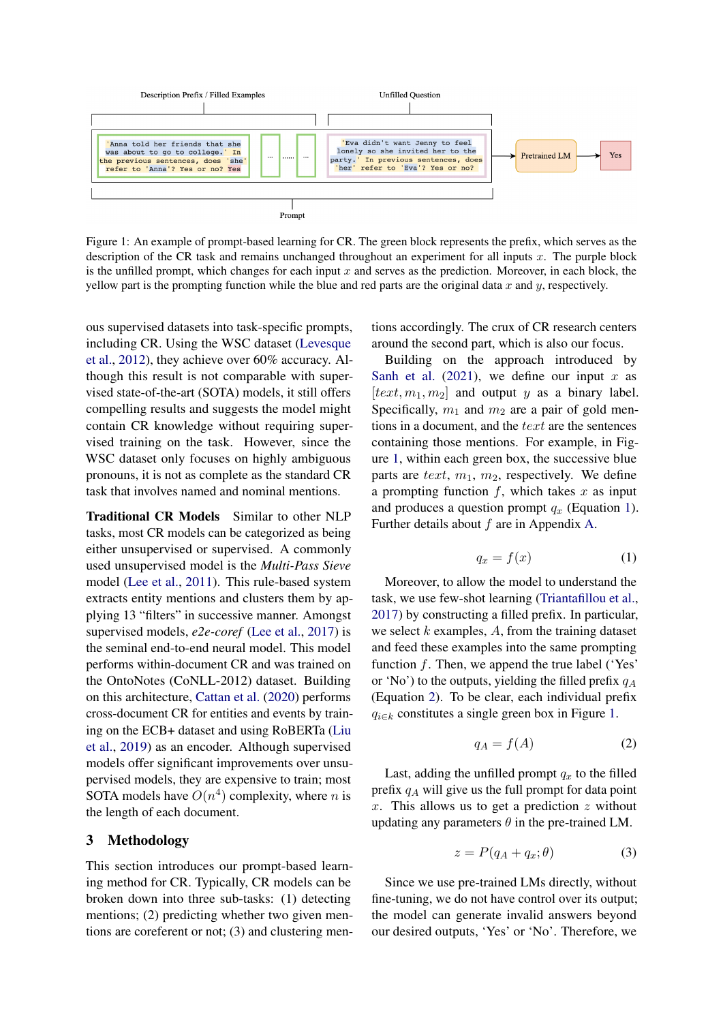<span id="page-1-0"></span>

Figure 1: An example of prompt-based learning for CR. The green block represents the prefix, which serves as the description of the CR task and remains unchanged throughout an experiment for all inputs  $x$ . The purple block is the unfilled prompt, which changes for each input  $x$  and serves as the prediction. Moreover, in each block, the yellow part is the prompting function while the blue and red parts are the original data  $x$  and  $y$ , respectively.

ous supervised datasets into task-specific prompts, including CR. Using the WSC dataset [\(Levesque](#page-5-9) [et al.,](#page-5-9) [2012\)](#page-5-9), they achieve over 60% accuracy. Although this result is not comparable with supervised state-of-the-art (SOTA) models, it still offers compelling results and suggests the model might contain CR knowledge without requiring supervised training on the task. However, since the WSC dataset only focuses on highly ambiguous pronouns, it is not as complete as the standard CR task that involves named and nominal mentions.

Traditional CR Models Similar to other NLP tasks, most CR models can be categorized as being either unsupervised or supervised. A commonly used unsupervised model is the *Multi-Pass Sieve* model [\(Lee et al.,](#page-4-5) [2011\)](#page-4-5). This rule-based system extracts entity mentions and clusters them by applying 13 "filters" in successive manner. Amongst supervised models, *e2e-coref* [\(Lee et al.,](#page-5-0) [2017\)](#page-5-0) is the seminal end-to-end neural model. This model performs within-document CR and was trained on the OntoNotes (CoNLL-2012) dataset. Building on this architecture, [Cattan et al.](#page-4-1) [\(2020\)](#page-4-1) performs cross-document CR for entities and events by training on the ECB+ dataset and using RoBERTa [\(Liu](#page-5-10) [et al.,](#page-5-10) [2019\)](#page-5-10) as an encoder. Although supervised models offer significant improvements over unsupervised models, they are expensive to train; most SOTA models have  $O(n^4)$  complexity, where *n* is the length of each document.

### 3 Methodology

This section introduces our prompt-based learning method for CR. Typically, CR models can be broken down into three sub-tasks: (1) detecting mentions; (2) predicting whether two given mentions are coreferent or not; (3) and clustering mentions accordingly. The crux of CR research centers around the second part, which is also our focus.

Building on the approach introduced by [Sanh et al.](#page-5-3) [\(2021\)](#page-5-3), we define our input  $x$  as  $[text, m<sub>1</sub>, m<sub>2</sub>]$  and output y as a binary label. Specifically,  $m_1$  and  $m_2$  are a pair of gold mentions in a document, and the text are the sentences containing those mentions. For example, in Figure [1,](#page-1-0) within each green box, the successive blue parts are text,  $m_1$ ,  $m_2$ , respectively. We define a prompting function  $f$ , which takes  $x$  as input and produces a question prompt  $q_x$  (Equation [1\)](#page-1-1). Further details about  $f$  are in Appendix [A.](#page-6-0)

$$
q_x = f(x) \tag{1}
$$

<span id="page-1-1"></span>Moreover, to allow the model to understand the task, we use few-shot learning [\(Triantafillou et al.,](#page-5-11) [2017\)](#page-5-11) by constructing a filled prefix. In particular, we select  $k$  examples,  $A$ , from the training dataset and feed these examples into the same prompting function  $f$ . Then, we append the true label ('Yes' or 'No') to the outputs, yielding the filled prefix  $q_A$ (Equation [2\)](#page-1-2). To be clear, each individual prefix  $q_{i \in k}$  constitutes a single green box in Figure [1.](#page-1-0)

<span id="page-1-2"></span>
$$
q_A = f(A) \tag{2}
$$

Last, adding the unfilled prompt  $q_x$  to the filled prefix  $q_A$  will give us the full prompt for data point x. This allows us to get a prediction  $z$  without updating any parameters  $\theta$  in the pre-trained LM.

$$
z = P(q_A + q_x; \theta) \tag{3}
$$

Since we use pre-trained LMs directly, without fine-tuning, we do not have control over its output; the model can generate invalid answers beyond our desired outputs, 'Yes' or 'No'. Therefore, we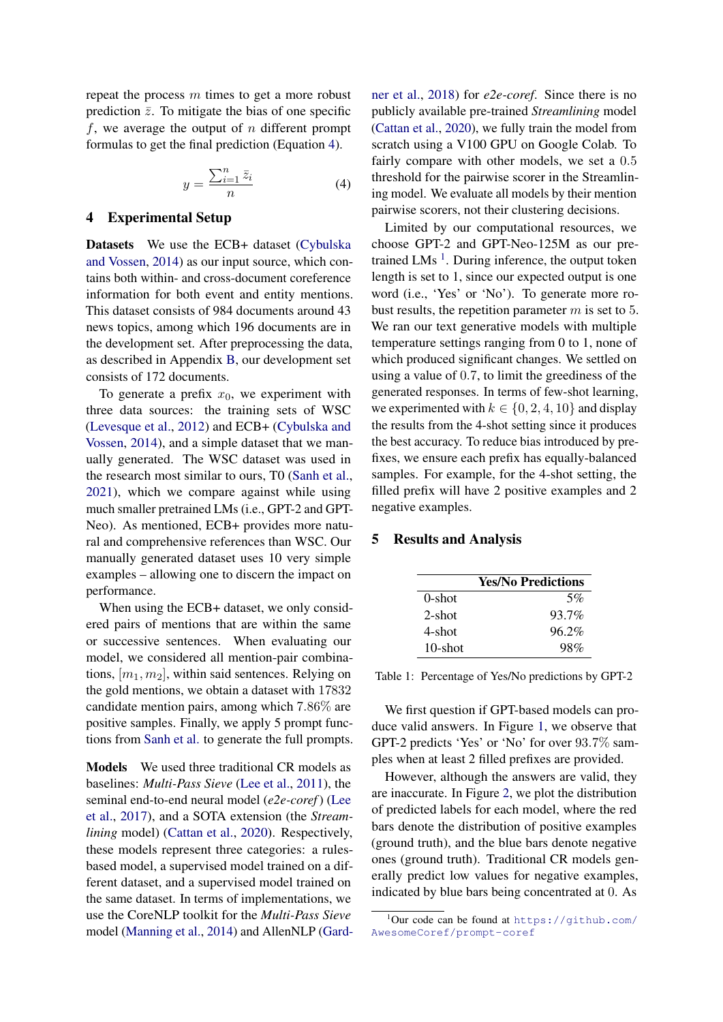repeat the process  $m$  times to get a more robust prediction  $\bar{z}$ . To mitigate the bias of one specific f, we average the output of  $n$  different prompt formulas to get the final prediction (Equation [4\)](#page-2-0).

$$
y = \frac{\sum_{i=1}^{n} \bar{z}_i}{n} \tag{4}
$$

### <span id="page-2-3"></span><span id="page-2-0"></span>4 Experimental Setup

Datasets We use the ECB+ dataset [\(Cybulska](#page-4-2)) [and Vossen,](#page-4-2) [2014\)](#page-4-2) as our input source, which contains both within- and cross-document coreference information for both event and entity mentions. This dataset consists of 984 documents around 43 news topics, among which 196 documents are in the development set. After preprocessing the data, as described in Appendix [B,](#page-6-1) our development set consists of 172 documents.

To generate a prefix  $x_0$ , we experiment with three data sources: the training sets of WSC [\(Levesque et al.,](#page-5-9) [2012\)](#page-5-9) and ECB+ [\(Cybulska and](#page-4-2) [Vossen,](#page-4-2) [2014\)](#page-4-2), and a simple dataset that we manually generated. The WSC dataset was used in the research most similar to ours, T0 [\(Sanh et al.,](#page-5-3) [2021\)](#page-5-3), which we compare against while using much smaller pretrained LMs (i.e., GPT-2 and GPT-Neo). As mentioned, ECB+ provides more natural and comprehensive references than WSC. Our manually generated dataset uses 10 very simple examples – allowing one to discern the impact on performance.

When using the ECB+ dataset, we only considered pairs of mentions that are within the same or successive sentences. When evaluating our model, we considered all mention-pair combinations,  $[m_1, m_2]$ , within said sentences. Relying on the gold mentions, we obtain a dataset with 17832 candidate mention pairs, among which 7.86% are positive samples. Finally, we apply 5 prompt functions from [Sanh et al.](#page-5-3) to generate the full prompts.

Models We used three traditional CR models as baselines: *Multi-Pass Sieve* [\(Lee et al.,](#page-4-5) [2011\)](#page-4-5), the seminal end-to-end neural model (*e2e-coref*) [\(Lee](#page-5-0) [et al.,](#page-5-0) [2017\)](#page-5-0), and a SOTA extension (the *Streamlining* model) [\(Cattan et al.,](#page-4-1) [2020\)](#page-4-1). Respectively, these models represent three categories: a rulesbased model, a supervised model trained on a different dataset, and a supervised model trained on the same dataset. In terms of implementations, we use the CoreNLP toolkit for the *Multi-Pass Sieve* model [\(Manning et al.,](#page-5-12) [2014\)](#page-5-12) and AllenNLP [\(Gard-](#page-4-7) [ner et al.,](#page-4-7) [2018\)](#page-4-7) for *e2e-coref*. Since there is no publicly available pre-trained *Streamlining* model [\(Cattan et al.,](#page-4-1) [2020\)](#page-4-1), we fully train the model from scratch using a V100 GPU on Google Colab. To fairly compare with other models, we set a 0.5 threshold for the pairwise scorer in the Streamlining model. We evaluate all models by their mention pairwise scorers, not their clustering decisions.

Limited by our computational resources, we choose GPT-2 and GPT-Neo-125M as our pre-trained LMs<sup>[1](#page-2-1)</sup>. During inference, the output token length is set to 1, since our expected output is one word (i.e., 'Yes' or 'No'). To generate more robust results, the repetition parameter  $m$  is set to 5. We ran our text generative models with multiple temperature settings ranging from 0 to 1, none of which produced significant changes. We settled on using a value of 0.7, to limit the greediness of the generated responses. In terms of few-shot learning, we experimented with  $k \in \{0, 2, 4, 10\}$  and display the results from the 4-shot setting since it produces the best accuracy. To reduce bias introduced by prefixes, we ensure each prefix has equally-balanced samples. For example, for the 4-shot setting, the filled prefix will have 2 positive examples and 2 negative examples.

## <span id="page-2-2"></span>5 Results and Analysis

|            | <b>Yes/No Predictions</b> |
|------------|---------------------------|
| $0$ -shot  | 5%                        |
| $2$ -shot  | 93.7%                     |
| 4-shot     | 96.2%                     |
| $10$ -shot | 98%                       |

Table 1: Percentage of Yes/No predictions by GPT-2

We first question if GPT-based models can produce valid answers. In Figure [1,](#page-2-2) we observe that GPT-2 predicts 'Yes' or 'No' for over 93.7% samples when at least 2 filled prefixes are provided.

However, although the answers are valid, they are inaccurate. In Figure [2,](#page-3-0) we plot the distribution of predicted labels for each model, where the red bars denote the distribution of positive examples (ground truth), and the blue bars denote negative ones (ground truth). Traditional CR models generally predict low values for negative examples, indicated by blue bars being concentrated at 0. As

<span id="page-2-1"></span> $1$ Our code can be found at [https://github.com/](https://github.com/AwesomeCoref/prompt-coref) [AwesomeCoref/prompt-coref](https://github.com/AwesomeCoref/prompt-coref)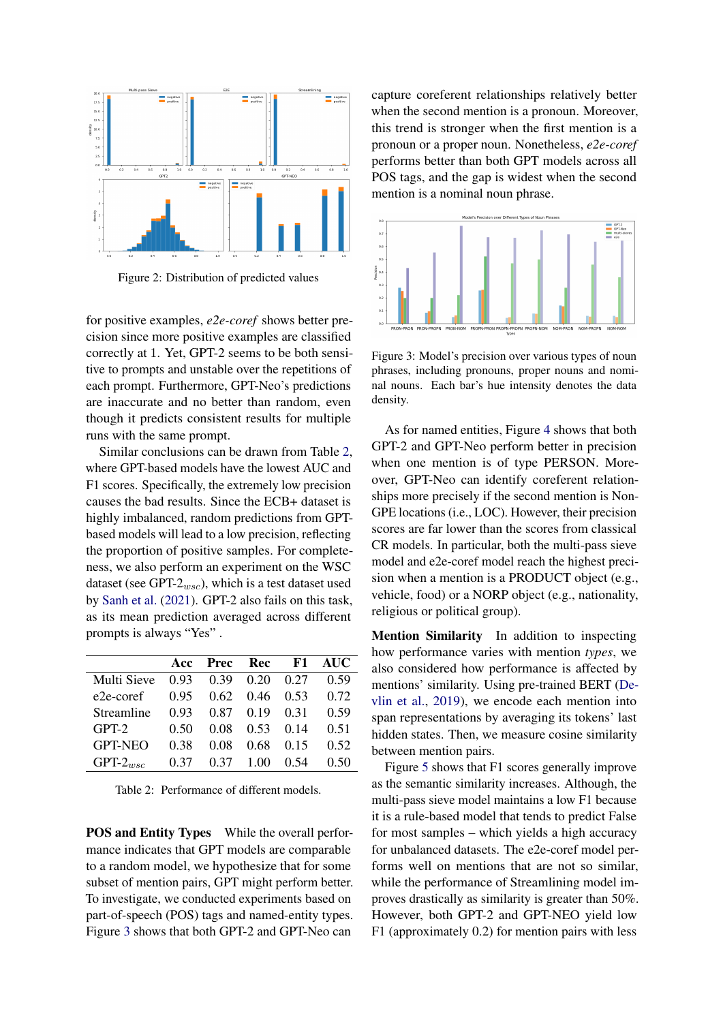<span id="page-3-0"></span>

Figure 2: Distribution of predicted values

for positive examples, *e2e-coref* shows better precision since more positive examples are classified correctly at 1. Yet, GPT-2 seems to be both sensitive to prompts and unstable over the repetitions of each prompt. Furthermore, GPT-Neo's predictions are inaccurate and no better than random, even though it predicts consistent results for multiple runs with the same prompt.

Similar conclusions can be drawn from Table [2,](#page-3-1) where GPT-based models have the lowest AUC and F1 scores. Specifically, the extremely low precision causes the bad results. Since the ECB+ dataset is highly imbalanced, random predictions from GPTbased models will lead to a low precision, reflecting the proportion of positive samples. For completeness, we also perform an experiment on the WSC dataset (see GPT- $2_{wsc}$ ), which is a test dataset used by [Sanh et al.](#page-5-3) [\(2021\)](#page-5-3). GPT-2 also fails on this task, as its mean prediction averaged across different prompts is always "Yes" .

<span id="page-3-1"></span>

|                |      | Acc Prec Rec F1 AUC                |                      |      |      |
|----------------|------|------------------------------------|----------------------|------|------|
| Multi Sieve    |      | $0.93$ $0.39$ $0.20$ $0.27$        |                      |      | 0.59 |
| e2e-coref      |      | $0.95$ $0.62$ $0.46$ $0.53$ $0.72$ |                      |      |      |
| Streamline     | 0.93 |                                    | $0.87$ $0.19$ $0.31$ |      | 0.59 |
| $GPT-2$        | 0.50 | 0.08                               | $0.53 \quad 0.14$    |      | 0.51 |
| <b>GPT-NEO</b> | 0.38 | 0.08                               | 0.68                 | 0.15 | 0.52 |
| $GPT-2_{wsc}$  | 0.37 |                                    | $0.37 \quad 1.00$    | 0.54 | 0.50 |

Table 2: Performance of different models.

POS and Entity Types While the overall performance indicates that GPT models are comparable to a random model, we hypothesize that for some subset of mention pairs, GPT might perform better. To investigate, we conducted experiments based on part-of-speech (POS) tags and named-entity types. Figure [3](#page-3-2) shows that both GPT-2 and GPT-Neo can

capture coreferent relationships relatively better when the second mention is a pronoun. Moreover, this trend is stronger when the first mention is a pronoun or a proper noun. Nonetheless, *e2e-coref* performs better than both GPT models across all POS tags, and the gap is widest when the second mention is a nominal noun phrase.

<span id="page-3-2"></span>

Figure 3: Model's precision over various types of noun phrases, including pronouns, proper nouns and nominal nouns. Each bar's hue intensity denotes the data density.

As for named entities, Figure [4](#page-4-8) shows that both GPT-2 and GPT-Neo perform better in precision when one mention is of type PERSON. Moreover, GPT-Neo can identify coreferent relationships more precisely if the second mention is Non-GPE locations (i.e., LOC). However, their precision scores are far lower than the scores from classical CR models. In particular, both the multi-pass sieve model and e2e-coref model reach the highest precision when a mention is a PRODUCT object (e.g., vehicle, food) or a NORP object (e.g., nationality, religious or political group).

Mention Similarity In addition to inspecting how performance varies with mention *types*, we also considered how performance is affected by mentions' similarity. Using pre-trained BERT [\(De](#page-4-9)[vlin et al.,](#page-4-9) [2019\)](#page-4-9), we encode each mention into span representations by averaging its tokens' last hidden states. Then, we measure cosine similarity between mention pairs.

Figure [5](#page-4-10) shows that F1 scores generally improve as the semantic similarity increases. Although, the multi-pass sieve model maintains a low F1 because it is a rule-based model that tends to predict False for most samples – which yields a high accuracy for unbalanced datasets. The e2e-coref model performs well on mentions that are not so similar, while the performance of Streamlining model improves drastically as similarity is greater than 50%. However, both GPT-2 and GPT-NEO yield low F1 (approximately 0.2) for mention pairs with less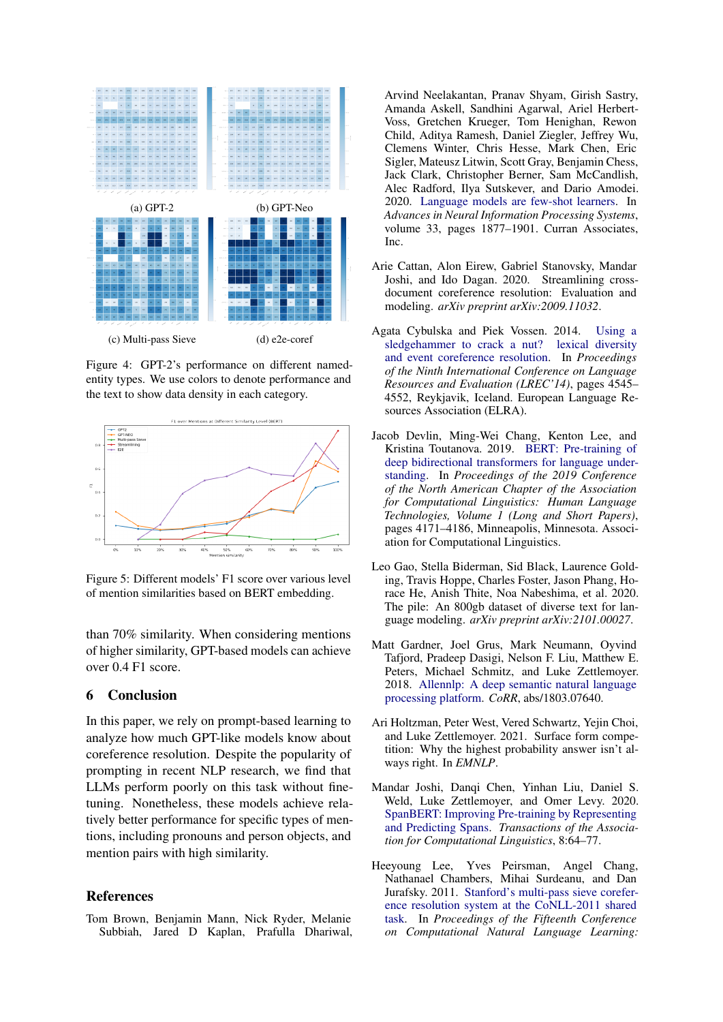<span id="page-4-8"></span>

Figure 4: GPT-2's performance on different namedentity types. We use colors to denote performance and the text to show data density in each category.

<span id="page-4-10"></span>

Figure 5: Different models' F1 score over various level of mention similarities based on BERT embedding.

than 70% similarity. When considering mentions of higher similarity, GPT-based models can achieve over 0.4 F1 score.

#### 6 Conclusion

In this paper, we rely on prompt-based learning to analyze how much GPT-like models know about coreference resolution. Despite the popularity of prompting in recent NLP research, we find that LLMs perform poorly on this task without finetuning. Nonetheless, these models achieve relatively better performance for specific types of mentions, including pronouns and person objects, and mention pairs with high similarity.

## References

<span id="page-4-3"></span>Tom Brown, Benjamin Mann, Nick Ryder, Melanie Subbiah, Jared D Kaplan, Prafulla Dhariwal,

Arvind Neelakantan, Pranav Shyam, Girish Sastry, Amanda Askell, Sandhini Agarwal, Ariel Herbert-Voss, Gretchen Krueger, Tom Henighan, Rewon Child, Aditya Ramesh, Daniel Ziegler, Jeffrey Wu, Clemens Winter, Chris Hesse, Mark Chen, Eric Sigler, Mateusz Litwin, Scott Gray, Benjamin Chess, Jack Clark, Christopher Berner, Sam McCandlish, Alec Radford, Ilya Sutskever, and Dario Amodei. 2020. [Language models are few-shot learners.](https://proceedings.neurips.cc/paper/2020/file/1457c0d6bfcb4967418bfb8ac142f64a-Paper.pdf) In *Advances in Neural Information Processing Systems*, volume 33, pages 1877–1901. Curran Associates, Inc.

- <span id="page-4-1"></span>Arie Cattan, Alon Eirew, Gabriel Stanovsky, Mandar Joshi, and Ido Dagan. 2020. Streamlining crossdocument coreference resolution: Evaluation and modeling. *arXiv preprint arXiv:2009.11032*.
- <span id="page-4-2"></span>Agata Cybulska and Piek Vossen. 2014. [Using a](http://www.lrec-conf.org/proceedings/lrec2014/pdf/840_Paper.pdf) [sledgehammer to crack a nut? lexical diversity](http://www.lrec-conf.org/proceedings/lrec2014/pdf/840_Paper.pdf) [and event coreference resolution.](http://www.lrec-conf.org/proceedings/lrec2014/pdf/840_Paper.pdf) In *Proceedings of the Ninth International Conference on Language Resources and Evaluation (LREC'14)*, pages 4545– 4552, Reykjavik, Iceland. European Language Resources Association (ELRA).
- <span id="page-4-9"></span>Jacob Devlin, Ming-Wei Chang, Kenton Lee, and Kristina Toutanova. 2019. [BERT: Pre-training of](https://doi.org/10.18653/v1/N19-1423) [deep bidirectional transformers for language under](https://doi.org/10.18653/v1/N19-1423)[standing.](https://doi.org/10.18653/v1/N19-1423) In *Proceedings of the 2019 Conference of the North American Chapter of the Association for Computational Linguistics: Human Language Technologies, Volume 1 (Long and Short Papers)*, pages 4171–4186, Minneapolis, Minnesota. Association for Computational Linguistics.
- <span id="page-4-4"></span>Leo Gao, Stella Biderman, Sid Black, Laurence Golding, Travis Hoppe, Charles Foster, Jason Phang, Horace He, Anish Thite, Noa Nabeshima, et al. 2020. The pile: An 800gb dataset of diverse text for language modeling. *arXiv preprint arXiv:2101.00027*.
- <span id="page-4-7"></span>Matt Gardner, Joel Grus, Mark Neumann, Oyvind Tafjord, Pradeep Dasigi, Nelson F. Liu, Matthew E. Peters, Michael Schmitz, and Luke Zettlemoyer. 2018. [Allennlp: A deep semantic natural language](http://arxiv.org/abs/1803.07640) [processing platform.](http://arxiv.org/abs/1803.07640) *CoRR*, abs/1803.07640.
- <span id="page-4-6"></span>Ari Holtzman, Peter West, Vered Schwartz, Yejin Choi, and Luke Zettlemoyer. 2021. Surface form competition: Why the highest probability answer isn't always right. In *EMNLP*.
- <span id="page-4-0"></span>Mandar Joshi, Danqi Chen, Yinhan Liu, Daniel S. Weld, Luke Zettlemoyer, and Omer Levy. 2020. [SpanBERT: Improving Pre-training by Representing](https://doi.org/10.1162/tacl_a_00300) [and Predicting Spans.](https://doi.org/10.1162/tacl_a_00300) *Transactions of the Association for Computational Linguistics*, 8:64–77.
- <span id="page-4-5"></span>Heeyoung Lee, Yves Peirsman, Angel Chang, Nathanael Chambers, Mihai Surdeanu, and Dan Jurafsky. 2011. [Stanford's multi-pass sieve corefer](https://aclanthology.org/W11-1902)[ence resolution system at the CoNLL-2011 shared](https://aclanthology.org/W11-1902) [task.](https://aclanthology.org/W11-1902) In *Proceedings of the Fifteenth Conference on Computational Natural Language Learning:*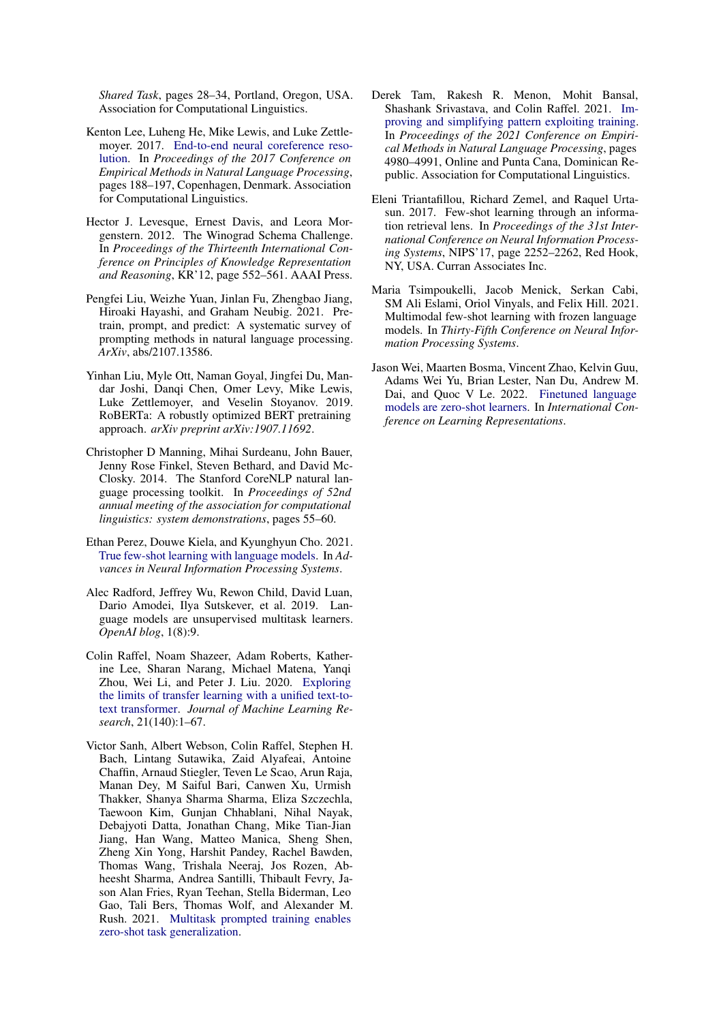*Shared Task*, pages 28–34, Portland, Oregon, USA. Association for Computational Linguistics.

- <span id="page-5-0"></span>Kenton Lee, Luheng He, Mike Lewis, and Luke Zettlemoyer. 2017. [End-to-end neural coreference reso](https://doi.org/10.18653/v1/D17-1018)[lution.](https://doi.org/10.18653/v1/D17-1018) In *Proceedings of the 2017 Conference on Empirical Methods in Natural Language Processing*, pages 188–197, Copenhagen, Denmark. Association for Computational Linguistics.
- <span id="page-5-9"></span>Hector J. Levesque, Ernest Davis, and Leora Morgenstern. 2012. The Winograd Schema Challenge. In *Proceedings of the Thirteenth International Conference on Principles of Knowledge Representation and Reasoning*, KR'12, page 552–561. AAAI Press.
- <span id="page-5-2"></span>Pengfei Liu, Weizhe Yuan, Jinlan Fu, Zhengbao Jiang, Hiroaki Hayashi, and Graham Neubig. 2021. Pretrain, prompt, and predict: A systematic survey of prompting methods in natural language processing. *ArXiv*, abs/2107.13586.
- <span id="page-5-10"></span>Yinhan Liu, Myle Ott, Naman Goyal, Jingfei Du, Mandar Joshi, Danqi Chen, Omer Levy, Mike Lewis, Luke Zettlemoyer, and Veselin Stoyanov. 2019. RoBERTa: A robustly optimized BERT pretraining approach. *arXiv preprint arXiv:1907.11692*.
- <span id="page-5-12"></span>Christopher D Manning, Mihai Surdeanu, John Bauer, Jenny Rose Finkel, Steven Bethard, and David Mc-Closky. 2014. The Stanford CoreNLP natural language processing toolkit. In *Proceedings of 52nd annual meeting of the association for computational linguistics: system demonstrations*, pages 55–60.
- <span id="page-5-6"></span>Ethan Perez, Douwe Kiela, and Kyunghyun Cho. 2021. [True few-shot learning with language models.](https://openreview.net/forum?id=ShnM-rRh4T) In *Advances in Neural Information Processing Systems*.
- <span id="page-5-4"></span>Alec Radford, Jeffrey Wu, Rewon Child, David Luan, Dario Amodei, Ilya Sutskever, et al. 2019. Language models are unsupervised multitask learners. *OpenAI blog*, 1(8):9.
- <span id="page-5-8"></span>Colin Raffel, Noam Shazeer, Adam Roberts, Katherine Lee, Sharan Narang, Michael Matena, Yanqi Zhou, Wei Li, and Peter J. Liu. 2020. [Exploring](http://jmlr.org/papers/v21/20-074.html) [the limits of transfer learning with a unified text-to](http://jmlr.org/papers/v21/20-074.html)[text transformer.](http://jmlr.org/papers/v21/20-074.html) *Journal of Machine Learning Research*, 21(140):1–67.
- <span id="page-5-3"></span>Victor Sanh, Albert Webson, Colin Raffel, Stephen H. Bach, Lintang Sutawika, Zaid Alyafeai, Antoine Chaffin, Arnaud Stiegler, Teven Le Scao, Arun Raja, Manan Dey, M Saiful Bari, Canwen Xu, Urmish Thakker, Shanya Sharma Sharma, Eliza Szczechla, Taewoon Kim, Gunjan Chhablani, Nihal Nayak, Debajyoti Datta, Jonathan Chang, Mike Tian-Jian Jiang, Han Wang, Matteo Manica, Sheng Shen, Zheng Xin Yong, Harshit Pandey, Rachel Bawden, Thomas Wang, Trishala Neeraj, Jos Rozen, Abheesht Sharma, Andrea Santilli, Thibault Fevry, Jason Alan Fries, Ryan Teehan, Stella Biderman, Leo Gao, Tali Bers, Thomas Wolf, and Alexander M. Rush. 2021. [Multitask prompted training enables](http://arxiv.org/abs/2110.08207) [zero-shot task generalization.](http://arxiv.org/abs/2110.08207)
- <span id="page-5-5"></span>Derek Tam, Rakesh R. Menon, Mohit Bansal, Shashank Srivastava, and Colin Raffel. 2021. [Im](https://doi.org/10.18653/v1/2021.emnlp-main.407)[proving and simplifying pattern exploiting training.](https://doi.org/10.18653/v1/2021.emnlp-main.407) In *Proceedings of the 2021 Conference on Empirical Methods in Natural Language Processing*, pages 4980–4991, Online and Punta Cana, Dominican Republic. Association for Computational Linguistics.
- <span id="page-5-11"></span>Eleni Triantafillou, Richard Zemel, and Raquel Urtasun. 2017. Few-shot learning through an information retrieval lens. In *Proceedings of the 31st International Conference on Neural Information Processing Systems*, NIPS'17, page 2252–2262, Red Hook, NY, USA. Curran Associates Inc.
- <span id="page-5-7"></span>Maria Tsimpoukelli, Jacob Menick, Serkan Cabi, SM Ali Eslami, Oriol Vinyals, and Felix Hill. 2021. Multimodal few-shot learning with frozen language models. In *Thirty-Fifth Conference on Neural Information Processing Systems*.
- <span id="page-5-1"></span>Jason Wei, Maarten Bosma, Vincent Zhao, Kelvin Guu, Adams Wei Yu, Brian Lester, Nan Du, Andrew M. Dai, and Quoc V Le. 2022. [Finetuned language](https://openreview.net/forum?id=gEZrGCozdqR) [models are zero-shot learners.](https://openreview.net/forum?id=gEZrGCozdqR) In *International Conference on Learning Representations*.